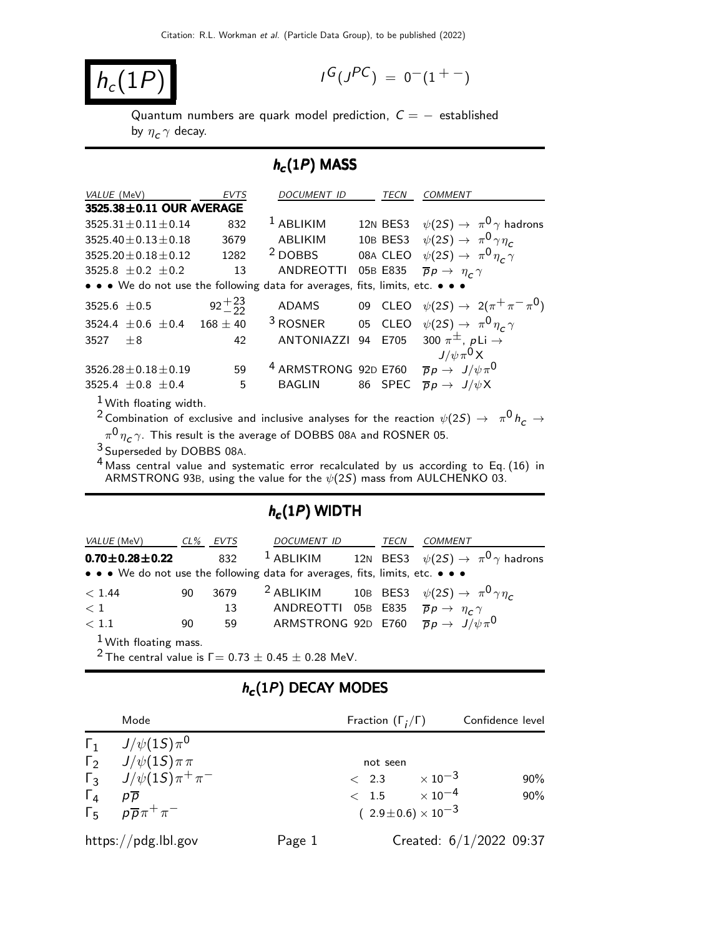$$
h_c(1P)
$$

$$
I^G(J^{PC}) = 0^-(1^{+-})
$$

Quantum numbers are quark model prediction,  $C = -$  established by  $\eta_c\,\gamma$  decay.

## $h_c(1P)$  MASS

| VALUE (MeV)                                                                   | <b>EVTS</b>      | <b>DOCUMENT ID</b>                                                  | TECN     | <b>COMMENT</b>                                       |
|-------------------------------------------------------------------------------|------------------|---------------------------------------------------------------------|----------|------------------------------------------------------|
| 3525.38±0.11 OUR AVERAGE                                                      |                  |                                                                     |          |                                                      |
| $3525.31 \pm 0.11 \pm 0.14$                                                   | 832              | <sup>1</sup> ABLIKIM                                                |          | 12N BES3 $\psi(2S) \rightarrow \pi^0 \gamma$ hadrons |
| $3525.40 \pm 0.13 \pm 0.18$                                                   | 3679             | ABLIKIM                                                             |          | 10B BES3 $\psi(2S) \rightarrow \pi^0 \gamma \eta_c$  |
| $3525.20 \pm 0.18 \pm 0.12$                                                   | 1282             | <sup>2</sup> DOBBS                                                  |          | 08A CLEO $\psi(2S) \rightarrow \pi^0 \eta_C \gamma$  |
| 3525.8 $\pm$ 0.2 $\pm$ 0.2                                                    | 13               | ANDREOTTI                                                           | 05B E835 | $\overline{p}p \rightarrow \eta_c \gamma$            |
| • • • We do not use the following data for averages, fits, limits, etc. • • • |                  |                                                                     |          |                                                      |
| 3525.6 $\pm$ 0.5                                                              | $92^{+23}_{-22}$ | ADAMS                                                               |          | 09 CLEO $\psi(2S) \to 2(\pi^+\pi^-\pi^0)$            |
| 3524.4 $\pm$ 0.6 $\pm$ 0.4                                                    | $168 \pm 40$     | $3$ ROSNER                                                          |          | 05 CLEO $\psi(2S) \rightarrow \pi^0 \eta_c \gamma$   |
| 3527<br>$+8$                                                                  | 42               | ANTONIAZZI                                                          |          | 94 E705 300 $\pi^{\pm}$ , pLi $\rightarrow$          |
|                                                                               |                  |                                                                     |          | $J/\psi \pi^0 X$                                     |
| $3526.28 \pm 0.18 \pm 0.19$                                                   | 59               | <sup>4</sup> ARMSTRONG 92D E760 $\bar{p}p \rightarrow J/\psi \pi^0$ |          |                                                      |
| 3525.4 $\pm$ 0.8 $\pm$ 0.4                                                    | 5                | <b>BAGLIN</b>                                                       | 86 SPEC  | $\overline{p}p \to J/\psi X$                         |
| $1$ M $\mu$ and $\mu$ and $\mu$ and $\mu$ and $\mu$                           |                  |                                                                     |          |                                                      |

With floating width.

 $^2$  Combination of exclusive and inclusive analyses for the reaction  $\psi(2S) \rightarrow \pi^0 h^-_C \rightarrow \pi^0 h^-_S$ 

 $\pi^{\mathbf{0}}\eta_{\boldsymbol{\mathsf{c}}}\gamma$ . This result is the average of DOBBS 08A and ROSNER 05.

3 Superseded by DOBBS 08A.

4 Mass central value and systematic error recalculated by us according to Eq. (16) in ARMSTRONG 93B, using the value for the  $\psi(2S)$  mass from AULCHENKO 03.

## $h_c(1P)$  WIDTH

| <i>VALUE</i> (MeV)                                                            |    | CL% EVTS | DOCUMENT ID                                                  | TECN | COMMENT                                                                   |
|-------------------------------------------------------------------------------|----|----------|--------------------------------------------------------------|------|---------------------------------------------------------------------------|
| $0.70\pm0.28\pm0.22$                                                          |    | 832      |                                                              |      | <sup>1</sup> ABLIKIM 12N BES3 $\psi(2S) \rightarrow \pi^0 \gamma$ hadrons |
| • • • We do not use the following data for averages, fits, limits, etc. • • • |    |          |                                                              |      |                                                                           |
| < 1.44                                                                        | 90 | 3679     |                                                              |      | <sup>2</sup> ABLIKIM 10B BES3 $\psi(2S) \rightarrow \pi^0 \gamma \eta_c$  |
| $\langle 1$                                                                   |    | 13       | ANDREOTTI 05B E835 $\overline{p}p \rightarrow \eta_c \gamma$ |      |                                                                           |
| < 1.1                                                                         | 90 | 59       |                                                              |      | ARMSTRONG 92D E760 $\overline{p}p \rightarrow J/\psi \pi^{0}$             |
| $1 \times 1 \times 1 \times 1$                                                |    |          |                                                              |      |                                                                           |

1 With floating mass.

<sup>2</sup> The central value is  $\Gamma = 0.73 \pm 0.45 \pm 0.28$  MeV.

## $h_{\boldsymbol{c}}(1P)$  DECAY MODES

|            | Mode                                                                                                                  |        | Fraction $(\Gamma_i/\Gamma)$                                 | Confidence level           |                           |
|------------|-----------------------------------------------------------------------------------------------------------------------|--------|--------------------------------------------------------------|----------------------------|---------------------------|
| $\Gamma_4$ | $\Gamma_1$ $J/\psi(1S)\pi^0$<br>$\Gamma_2$ $J/\psi(1S)\pi\pi$<br>$\Gamma_3$ $J/\psi(15)\pi^+\pi^-$<br>$p\overline{p}$ |        | not seen<br>$< 2.3 \times 10^{-3}$<br>$< 1.5 \times 10^{-4}$ |                            | 90%<br>90%                |
|            | $\Gamma_5$ $p\overline{p}\pi^+\pi^-$                                                                                  |        |                                                              | $(2.9\pm0.6)\times10^{-3}$ |                           |
|            | https://pdg.lbl.gov                                                                                                   | Page 1 |                                                              |                            | Created: $6/1/2022$ 09:37 |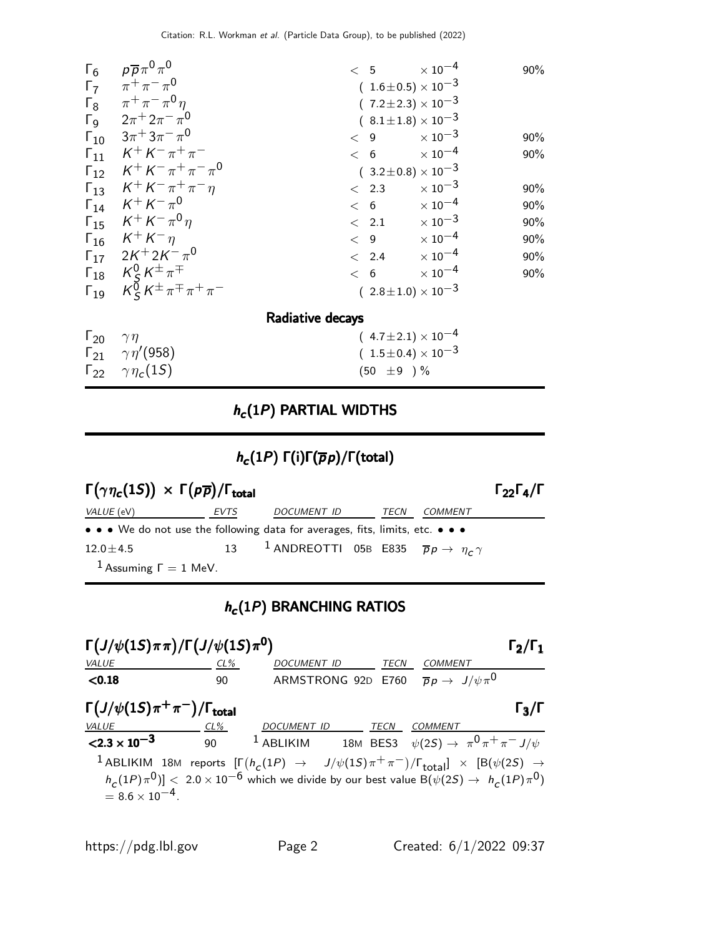| $\Gamma_6$                  | $\rho \overline{\rho} \pi^0 \pi^0$                                                   | < 5 | $\times$ 10 $^{-4}$            | 90% |
|-----------------------------|--------------------------------------------------------------------------------------|-----|--------------------------------|-----|
| $\Gamma_7$                  | $\pi^+\pi^-\pi^0$                                                                    |     | $(1.6 \pm 0.5) \times 10^{-3}$ |     |
|                             | $\Gamma_8$ $\pi^+ \pi^- \pi^0 \eta$                                                  |     | $(7.2 \pm 2.3) \times 10^{-3}$ |     |
|                             | $\Gamma_9$ $2\pi^+ 2\pi^- \pi^0$                                                     |     | $(8.1 \pm 1.8) \times 10^{-3}$ |     |
|                             | $\Gamma_{10}$ $3\pi$ <sup>+</sup> $3\pi$ <sup>-</sup> $\pi$ <sup>0</sup>             | < 9 | $\times$ 10 $^{-3}$            | 90% |
|                             | $\Gamma_{11}$ $K^+ K^- \pi^+ \pi^-$                                                  | < 6 | $\times$ 10 $^{-4}$            | 90% |
|                             | $\Gamma_{12}$ $K^+ K^- \pi^+ \pi^- \pi^0$                                            |     | $(3.2 \pm 0.8) \times 10^{-3}$ |     |
|                             | $\Gamma_{13}$ $K^+ K^- \pi^+ \pi^- n$                                                |     | $< 2.3 \times 10^{-3}$         | 90% |
|                             | $\Gamma_{14}$ $K^+ K^- \pi^0$                                                        | < 6 | $\times$ 10 $^{-4}$            | 90% |
|                             | $\Gamma_{15}$ $K^+ K^- \pi^0 \eta$                                                   |     | $< 2.1 \times 10^{-3}$         | 90% |
|                             | $\Gamma_{16}$ $K^+ K^- \eta$                                                         |     | $< 9$ $\times 10^{-4}$         | 90% |
|                             | $\Gamma_{17}$ 2K <sup>+</sup> 2K <sup>-</sup> $\pi^0$                                |     | $< 2.4 \times 10^{-4}$         | 90% |
|                             | $\mathsf{\Gamma}_{18}$ $\mathsf{\mathcal{K}}^0_S\mathsf{\mathcal{K}}^{\pm}\pi^{\mp}$ | < 6 | $\times$ 10 <sup>-4</sup>      | 90% |
|                             | $\Gamma_{19}$ $K_S^{\bar{0}} K^{\pm} \pi^{\mp} \pi^+ \pi^-$                          |     | $(2.8 \pm 1.0) \times 10^{-3}$ |     |
|                             | Radiative decays                                                                     |     |                                |     |
| $\Gamma_{20}$ $\gamma \eta$ |                                                                                      |     | $(4.7 \pm 2.1) \times 10^{-4}$ |     |
|                             | $\Gamma_{21}$ $\gamma\eta'(958)$                                                     |     | $(1.5 \pm 0.4) \times 10^{-3}$ |     |

# $h_c(1P)$  PARTIAL WIDTHS

 $(50 \pm 9) \%$ 

# $h_c(1P)$  Γ(i)Γ( $\overline{p}p$ )/Γ(total)

| $\Gamma(\gamma \eta_c(1S)) \times \Gamma(p\overline{p})/\Gamma_{\text{total}}$ |      |                                                                              |      |         | $\Gamma_{22}\Gamma_4/\Gamma$ |
|--------------------------------------------------------------------------------|------|------------------------------------------------------------------------------|------|---------|------------------------------|
| <i>VALUE</i> (eV)                                                              | EVTS | <i>DOCUMENT ID</i>                                                           | TECN | COMMENT |                              |
| • • • We do not use the following data for averages, fits, limits, etc. • • •  |      |                                                                              |      |         |                              |
| $12.0 \pm 4.5$                                                                 |      | 13 <sup>1</sup> ANDREOTTI 05B E835 $\overline{p}p \rightarrow \eta_c \gamma$ |      |         |                              |
| <sup>1</sup> Assuming $\Gamma = 1$ MeV.                                        |      |                                                                              |      |         |                              |

# $h_c(1P)$  BRANCHING RATIOS

| $\Gamma\left(\frac{J}{\psi(1S)\pi\pi}\right)/\Gamma\left(\frac{J}{\psi(1S)\pi^0}\right)$<br>$\Gamma_2/\Gamma_1$                                                                                                                                                                       |        |                    |             |             |                                                                               |                   |  |
|---------------------------------------------------------------------------------------------------------------------------------------------------------------------------------------------------------------------------------------------------------------------------------------|--------|--------------------|-------------|-------------|-------------------------------------------------------------------------------|-------------------|--|
| <b>VALUE</b>                                                                                                                                                                                                                                                                          | $CL\%$ | DOCUMENT ID        |             | <b>TECN</b> | COMMENT                                                                       |                   |  |
| < 0.18                                                                                                                                                                                                                                                                                | 90     |                    |             |             | ARMSTRONG 92D E760 $\overline{p}p \rightarrow J/\psi \pi^{0}$                 |                   |  |
| $\Gamma\left(\frac{J}{\psi(1S)}\pi^{+}\pi^{-}\right)/\Gamma_{\text{total}}$                                                                                                                                                                                                           |        |                    |             |             |                                                                               | $\Gamma_3/\Gamma$ |  |
| VALUE                                                                                                                                                                                                                                                                                 | $CL\%$ | <i>DOCUMENT ID</i> | <b>TECN</b> |             | COMMENT                                                                       |                   |  |
| $\leq$ 2.3 $\times$ 10 <sup>-3</sup> 90                                                                                                                                                                                                                                               |        |                    |             |             | <sup>1</sup> ABLIKIM 18M BES3 $\psi(2S) \rightarrow \pi^0 \pi^+ \pi^- J/\psi$ |                   |  |
| <sup>1</sup> ABLIKIM 18M reports $[\Gamma(h_c(1P) \rightarrow J/\psi(1S)\pi^+\pi^-)/\Gamma_{\text{total}}] \times [B(\psi(2S) \rightarrow h_c(1P)\pi^0)] < 2.0 \times 10^{-6}$ which we divide by our best value $B(\psi(2S) \rightarrow h_c(1P)\pi^0)$<br>= 8.6 × 10 <sup>-4</sup> . |        |                    |             |             |                                                                               |                   |  |

 $Γ_{22}$  γη<sub>σ</sub>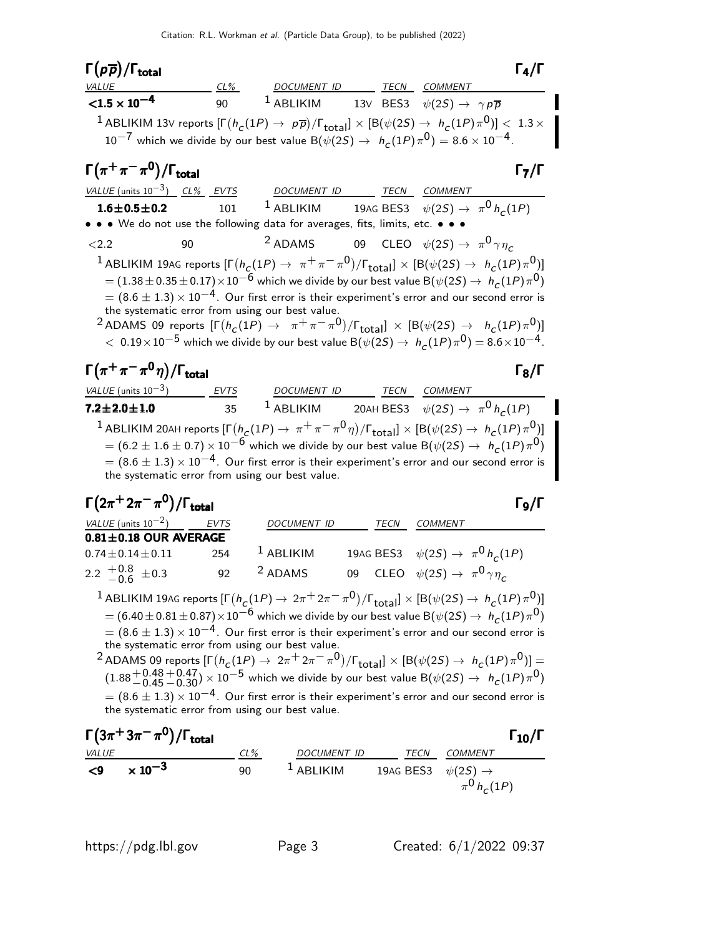Γ $(p\overline{p})/\Gamma_{\text{total}}$  Γ<sub>4</sub>/Γ CL% DOCUMENT ID TECN COMMENT  ${<}1.5 \times 10^{-4}$ 90 <sup>1</sup> ABLIKIM 13V BES3  $\psi(2S) \rightarrow \gamma \rho \overline{p}$  $\frac{1}{2}$  ABLIKIM 13V reports  $[\Gamma(h_c(1P) \to p\overline{p})/\Gamma_{\rm total}]\times[{\cal B}(\psi(2S) \to h_c(1P)\pi^0)] < 1.3\times10^{-4}$  $10^{-7}$  which we divide by our best value  $\hbox{B}(\psi(2S) \to ~ h_{\pmb{C}}(1P) \pi^0) = 8.6 \times 10^{-4}$ .  $\Gamma(\pi^+\pi^-\pi^0)/\Gamma_{\rm total}$  Γ<sub>7</sub>/Γ total and the contract of the contract of  $\sim$  17/1 VALUE (units  $10^{-3}$ ) CL% EVTS DOCUMENT ID TECN COMMENT **1.6±0.5±0.2** 101 <sup>1</sup> ABLIKIM 19AG BES3  $\psi(2S) \to \pi^0 h_c(1P)$ • • • We do not use the following data for averages, fits, limits, etc. • •  $\langle 2.2$  90  $\langle 2.2 \rangle$   $\langle 90 \rangle$   $\langle 2.2 \rangle$   $\langle 90 \rangle$   $\langle 2.5 \rangle$   $\langle 90 \rangle$   $\langle 2.5 \rangle$   $\langle 90 \rangle$  $^1$  ABLIKIM 19AG reports  $[\Gamma(h_{\cal C}(1P) \to~\pi^+\pi^-\pi^0)/\Gamma_{\rm total}]\times[{\rm B}(\psi(2S) \to~h_{\cal C}(1P)\pi^0)]$  $= (1.38\pm 0.35\pm 0.17)\times 10^{-\bar{6}}$  which we divide by our best value B $(\psi(2S)\rightarrow ~h_{\cal C}(1P)\pi^{\bar{0}})$  $=(8.6\pm1.3)\times10^{-4}$ . Our first error is their experiment's error and our second error is the systematic error from using our best value. <sup>2</sup> ADAMS 09 reports  $[\Gamma(h_c(1P) \rightarrow \pi^+\pi^-\pi^0)/\Gamma_{\text{total}}] \times [B(\psi(2S) \rightarrow h_c(1P)\pi^0)]$  $<\,0.19\times 10^{-5}$  which we divide by our best value B $(\psi(2S) \rightarrow ~h_{\cal C}(1P) \, \pi^{0}) = 8.6 \times 10^{-4}$ .  $\Gamma(\pi^+\pi^-\pi^0\eta)/\Gamma_{\rm total}$  Γ<sub>8</sub>/Γ VALUE (units 10<sup>-3</sup>) EVTS DOCUMENT ID TECN COMMENT **7.2** $\pm$ **2.0** $\pm$ **1.0** 35 <sup>1</sup> ABLIKIM 20AH BES3  $\psi(2S) \rightarrow \pi^0 h_c(1P)$  $^1$  ABLIKIM 20AH reports  $[\Gamma(\frac{h_c}{(1P)\rightarrow\pi^+\pi^-\pi^0\eta})/\Gamma_{\rm total}]\times[{\rm B}(\psi(2S)\rightarrow\ h_c{(1P)}\pi^0)]$  $= (6.2 \pm 1.6 \pm 0.7) \times 10^{-6}$  which we divide by our best value B $(\psi(2S) \rightarrow ~h_{\cal C}(1P) \pi^{\mathbf{0}})$  $= (8.6 \pm 1.3) \times 10^{-4}$ . Our first error is their experiment's error and our second error is the systematic error from using our best value.  $\Gamma(2\pi^+ 2\pi^- \pi^0)/\Gamma_{\rm total}$ )/Γ<sub>total</sub>Γ9/Γ VALUE (units  $10^{-2}$ ) EVTS DOCUMENT ID TECN COMMENT  $0.81 \pm 0.18$  OUR AVERAGE  $0.74\pm0.14\pm0.11$  254 1 ABLIKIM 19AG BES3  $\psi(2S) \rightarrow \pi^0 h_c(1P)$  $2.2 \begin{array}{c} +0.8 \\ -0.6 \end{array}$  $-0.6$  $\pm 0.3$  92 <sup>2</sup> ADAMS 09 CLEO  $\psi(2S) \to \pi^0 \gamma \eta_c$  $^1$  ABLIKIM 19AG reports  $[\Gamma(h_{\cal C}(1P) \to 2\pi^+ 2\pi^- \pi^0)/\Gamma_{\rm total}]\times[{\rm B}(\psi(2S) \to h_{\cal C}(1P) \pi^0)]$  $=$   $(6.40\pm0.81\pm0.87)\times10^{-6}$  which we divide by our best value B $(\psi(2S)\rightarrow ~h_{\cal C}(1P)\pi^{\rm O})$  $= (8.6 \pm 1.3) \times 10^{-4}$ . Our first error is their experiment's error and our second error is the systematic error from using our best value. <sup>2</sup> ADAMS 09 reports  $[\Gamma(h_c(1P) \to 2\pi^+ 2\pi^- \pi^0)/\Gamma_{\text{total}}] \times [B(\psi(2S) \to h_c(1P)\pi^0)] =$  $(1.88 + 0.48 - 0.45)$  $+0.47$   $+0.30$ )  $\times$  10<sup>-5</sup> which we divide by our best value B( $\psi(2S) \rightarrow h_c(1P)\pi^0$ )  $=(8.6\pm1.3)\times10^{-4}$ . Our first error is their experiment's error and our second error is the systematic error from using our best value.  $\Gamma(3\pi^+3\pi^-\pi^0)/\Gamma_{\rm total}$  Γ<sub>10</sub>/Γ /Γ $_{\rm total}$ Γ $_{10}$ /Γ

| 1 (3n · 3n · n · )/1 total | 10/1 |       |       |       |       |
|----------------------------|------|-------|-------|-------|-------|
| 29 × 10 <sup>-3</sup>      | 90   | 1     | 0.200 | 1     | 0.200 |
| 30                         | 1    | 0.200 | 1     | 0.200 | 1     |
| 40 (25) → $\pi^0 h_c(1P)$  |      |       |       |       |       |

https://pdg.lbl.gov Page 3 Created: 6/1/2022 09:37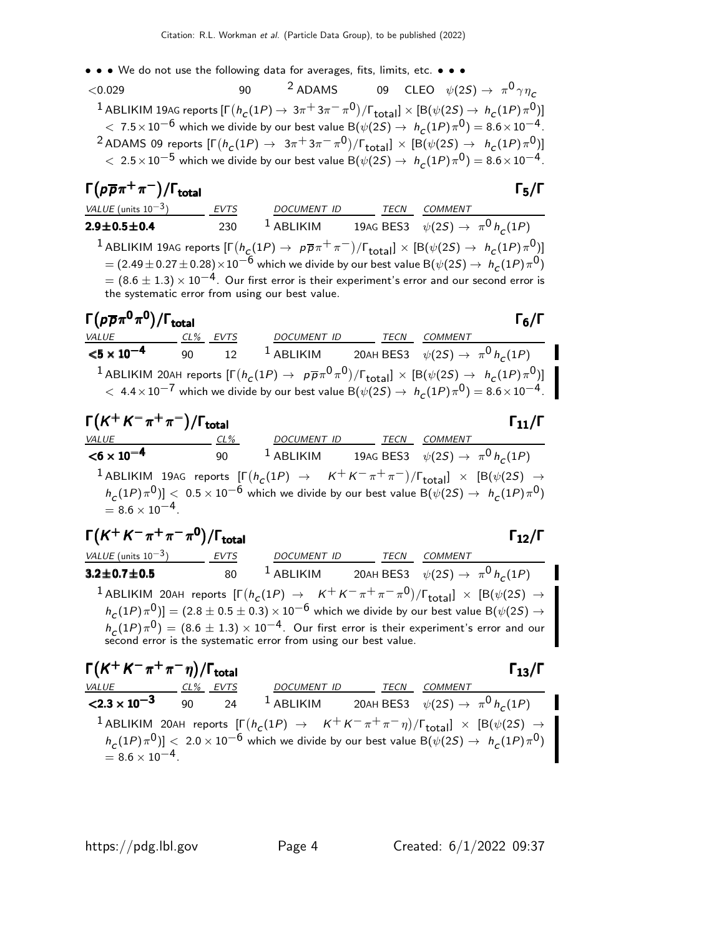• • • We do not use the following data for averages, fits, limits, etc. • • •

 $<$ 0.029 90  $^2$  ADAMS 09 CLEO  $\psi(2S) \rightarrow \pi^0 \gamma \eta_c$  $1$  ABLIKIM 19AG reports  $[\Gamma(h_{\cal C}(1P) \to 3\pi^+ 3\pi^- \pi^0)/\Gamma_{\rm total}]\times[{\cal B}(\psi(2S) \to h_{\cal C}(1P) \pi^0)]$  $< 7.5 \times 10^{-6}$  which we divide by our best value B $(\psi(2S) \rightarrow ~h_{\cal C}(1P) \pi^{0}) = 8.6 \times 10^{-4}$  .  $^2$  ADAMS 09 reports  $[\Gamma(h_c(1P) \to 3\pi^+3\pi^-\pi^0)/\Gamma_{\rm total}]\times[{\cal B}(\psi(2S) \to h_c(1P)\pi^0)]$  $<\, 2.5\!\times\!10^{-5}$  which we divide by our best value  $\hbox{B}(\psi(2S)\to\ h_{\pmb{C}}(1P)\pi^{\mathbf{0}})= 8.6\!\times\!10^{-4}$  .

#### $\Gamma(p\overline{p}\pi^+\pi^-)/\Gamma_{\rm total}$ Γ $(p\overline{p}\pi^{+}\pi^{-})/\Gamma_{\text{total}}$

VALUE (units 10<sup>-3</sup>) EVTS DOCUMENT ID TECN COMMENT **2.9** $\pm$ **0.5** $\pm$ **0.4** 230 <sup>1</sup> ABLIKIM 19AG BES3  $\psi(2S) \rightarrow \pi^0 h_c(1P)$  $^1$  ABLIKIM 19AG reports  $[\Gamma(h_{\cal C}(1P) \to~\rho\overline{\rho}\pi^+\pi^-)/\Gamma_{\rm total}]\times[{\cal B}(\psi(2S) \to~h_{\cal C}(1P)\pi^0)]$  $= (2.49\pm 0.27\pm 0.28)\!\times\!10^{-6}$  which we divide by our best value  $\hbox{B}(\psi(2S)\to~h_{\scriptsize \textsf{C}}(1P)\pi^{\textsf{O}})$  $=(8.6\pm1.3)\times 10^{-4}$ . Our first error is their experiment's error and our second error is the systematic error from using our best value.

| $\Gamma(p\overline{p}\pi^0\pi^0)/\Gamma_{\rm total}$                                                                                                                                                                                                                        |    |             |             |      | $\Gamma_6/\Gamma$                                                   |  |  |
|-----------------------------------------------------------------------------------------------------------------------------------------------------------------------------------------------------------------------------------------------------------------------------|----|-------------|-------------|------|---------------------------------------------------------------------|--|--|
| VALUE CL%                                                                                                                                                                                                                                                                   |    | <b>EVTS</b> | DOCUMENT ID | TECN | COMMENT                                                             |  |  |
| $<$ 5 $\times$ 10 $^{-4}$                                                                                                                                                                                                                                                   | 90 | 12          |             |      | <sup>1</sup> ABLIKIM 20AH BES3 $\psi(2S) \rightarrow \pi^0 h_c(1P)$ |  |  |
| <sup>1</sup> ABLIKIM 20AH reports $[\Gamma(h_c(1P) \to p\overline{p}\pi^0\pi^0)/\Gamma_{\text{total}}] \times [B(\psi(2S) \to h_c(1P)\pi^0)]$<br>$< 4.4 \times 10^{-7}$ which we divide by our best value B( $\psi(2S) \rightarrow h_c(1P)\pi^0$ ) = 8.6 $\times 10^{-4}$ . |    |             |             |      |                                                                     |  |  |

| $\Gamma(K^+K^-\pi^+\pi^-)/\Gamma_{\text{total}}$                                                                                                                    |        |                                                                                                                  |                                        |         | $\Gamma_{11}/\Gamma$ |
|---------------------------------------------------------------------------------------------------------------------------------------------------------------------|--------|------------------------------------------------------------------------------------------------------------------|----------------------------------------|---------|----------------------|
| <i>VALUE</i>                                                                                                                                                        | $CL\%$ | DOCUMENT ID                                                                                                      | TECN                                   | COMMENT |                      |
| $<$ 6 $\times$ 10 <sup>-4</sup>                                                                                                                                     | 90     | $^1$ ABLIKIM                                                                                                     | 19AG BES3 $\psi(2S) \to \pi^0 h_c(1P)$ |         |                      |
| <sup>1</sup> ABLIKIM 19AG reports $[\Gamma(h_c(1P) \rightarrow K^+K^-\pi^+\pi^-)/\Gamma_{\text{total}}] \times [B(\psi(2S) \rightarrow$<br>$= 8.6 \times 10^{-4}$ . |        | $h_c(1P)\pi^0$ ] < $0.5\times10^{-6}$ which we divide by our best value B( $\psi(2S) \rightarrow h_c(1P)\pi^0$ ) |                                        |         |                      |

$$
\Gamma(K^+K^-\pi^+\pi^-\pi^0)/\Gamma_{\text{total}}
$$

VALUE (units  $10^{-3}$ ) EVTS DOCUMENT ID TECN COMMENT **3.2±0.7±0.5** 80 <sup>1</sup> ABLIKIM 20AH BES3  $\psi(2S) \to \pi^0 h_c(1P)$  $^1$  ABLIKIM\_20AH reports  $[\Gamma(h_c(1P) \rightarrow K^+ K^- \pi^+ \pi^- \pi^0)/\Gamma_{\rm total}]\times [B(\psi(2S) \rightarrow$  $h_\mathcal{C}(1P)\,\pi^0)]= (2.8\pm 0.5\pm 0.3)\times 10^{-6}$  which we divide by our best value B $(\psi(2S) \rightarrow$  $h_\mathcal{C}(1P)\,\pi^{\textsf{O}})=(8.6\pm1.3)\times 10^{-4}$  . Our first error is their experiment's error and our second error is the systematic error from using our best value.

$$
\begin{array}{ll}\n\mathbf{\Gamma}(K^+ K^- \pi^+ \pi^- \eta)/\mathbf{\Gamma}_{\text{total}} & \mathbf{\Gamma}_{13}/\mathbf{\Gamma} \\
\hline\n\text{value} & \text{c1\%} & \text{EVTS} \\
\text{2.3 x 10}^{-3} & 90 & 24 & 1 \text{ ABLIKIM} & 20 \text{AH BES3} & \psi(2S) \rightarrow \pi^0 h_c(1P) \\
 & \text{1 ABLIKIM} & 20 \text{AH reports} & \left[ \Gamma(h_c(1P) \rightarrow K^+ K^- \pi^+ \pi^- \eta) / \Gamma_{\text{total}} \right] \times \left[ \text{B}(\psi(2S) \rightarrow h_c(1P) \pi^0) \right] \\
&= 8.6 \times 10^{-4}.\n\end{array}
$$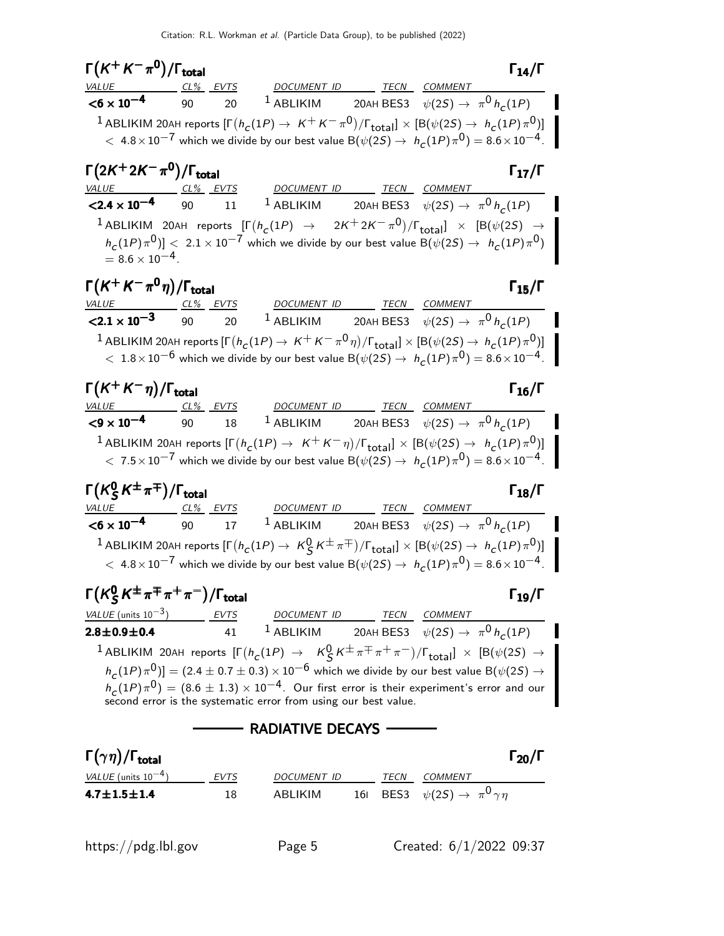| $\Gamma\bigl(\mathsf{K}^+\mathsf{K}^-\pi^0\bigr)/\Gamma_\mathrm{total}$ |                                                                    |                                                                                                                                                                                                                                                                              |  | $\Gamma_{14}/\Gamma$ |
|-------------------------------------------------------------------------|--------------------------------------------------------------------|------------------------------------------------------------------------------------------------------------------------------------------------------------------------------------------------------------------------------------------------------------------------------|--|----------------------|
|                                                                         |                                                                    | VALUE CL <sup>%</sup> EVTS DOCUMENT ID TECN COMMENT                                                                                                                                                                                                                          |  |                      |
| $<$ 6 $\times$ 10 $^{-4}$                                               | 90<br>20                                                           | <sup>1</sup> ABLIKIM 20AH BES3 $\psi(2S) \rightarrow \pi^0 h_c(1P)$                                                                                                                                                                                                          |  |                      |
|                                                                         |                                                                    | <sup>1</sup> ABLIKIM 20AH reports $[\Gamma(h_c(1P) \to K^+K^-\pi^0)/\Gamma_{\rm total}]\times [B(\psi(2S) \to h_c(1P)\pi^0)]$                                                                                                                                                |  |                      |
|                                                                         |                                                                    | $<\,$ 4.8 $\times$ 10 $^{-7}$ which we divide by our best value B( $\psi(2S)\rightarrow ~h_{C}(1P)\pi^{0})=$ 8.6 $\times$ 10 $^{-4}$ . $^{-1}$                                                                                                                               |  |                      |
| $\Gamma(2K^+2K^-\pi^0)/\Gamma_{\rm total}$                              |                                                                    |                                                                                                                                                                                                                                                                              |  | $\Gamma_{17}/\Gamma$ |
| <u>VALUE CL% EVTS</u>                                                   |                                                                    | DOCUMENT ID TECN COMMENT                                                                                                                                                                                                                                                     |  |                      |
| $<$ 2.4 $\times$ 10 <sup>-4</sup>                                       | 90<br>11                                                           | <sup>1</sup> ABLIKIM 20AH BES3 $\psi(2S) \rightarrow \pi^0 h_c(1P)$                                                                                                                                                                                                          |  |                      |
| $= 8.6 \times 10^{-4}$ .                                                |                                                                    | <sup>1</sup> ABLIKIM 20AH reports $[\Gamma(h_c(1P) \rightarrow 2K^+ 2K^- \pi^0)/\Gamma_{\text{total}}] \times [B(\psi(2S) \rightarrow$<br>$h_c(1P)\pi^0)] <~2.1\times 10^{-7}$ which we divide by our best value ${\rm B}(\psi(2S)\to~h_c(1P)\pi^0)$                         |  |                      |
| $\Gamma(K^+K^-\pi^0\eta)/\Gamma_{\rm total}$                            |                                                                    |                                                                                                                                                                                                                                                                              |  | $\Gamma_{15}/\Gamma$ |
| VALUE                                                                   | $CL%$ EVTS                                                         | DOCUMENT ID TECN COMMENT                                                                                                                                                                                                                                                     |  |                      |
| $<$ 2.1 $\times$ 10 <sup>-3</sup>                                       | 90<br>20                                                           | <sup>1</sup> ABLIKIM 20AH BES3 $\psi(2S) \rightarrow \pi^0 h_c(1P)$                                                                                                                                                                                                          |  |                      |
|                                                                         |                                                                    | $^{-1}$ ABLIKIM 20AH reports $[\Gamma(h_c(1P) \to K^+K^-\pi^0\eta)/\Gamma_{\rm total}]\times [B(\psi(2S) \to h_c(1P)\pi^0)]$                                                                                                                                                 |  |                      |
|                                                                         |                                                                    | $<~1.8\times10^{-6}$ which we divide by our best value B $(\psi(2S)\rightarrow ~h_{\rm\scriptsize C}(1P)\pi^{0})=8.6\times10^{-4}$ . $\parallel$                                                                                                                             |  |                      |
| $\Gamma(K^+K^-\eta)/\Gamma_{\rm total}$                                 |                                                                    |                                                                                                                                                                                                                                                                              |  | $\Gamma_{16}/\Gamma$ |
|                                                                         |                                                                    | T (A ' A ' 11)/ I total<br><u>VALUE ___________CL%_EVTS</u> DOCUMENT ID________ <u>TECN___COMMENT</u>                                                                                                                                                                        |  |                      |
| $<$ 9 $\times$ 10 <sup>-4</sup>                                         | 18<br>90 — 10                                                      | <sup>1</sup> ABLIKIM 20AH BES3 $\psi(2S) \rightarrow \pi^0 h_c(1P)$                                                                                                                                                                                                          |  |                      |
|                                                                         |                                                                    | $^{-1}$ ABLIKIM 20AH reports $[\Gamma(h_c(1P) \to K^+K^-\eta)/\Gamma_{\rm total}]\times [B(\psi(2S) \to h_c(1P)\pi^0)]^{-1}$<br>$< 7.5 \times 10^{-7}$ which we divide by our best value B $(\psi(2S) \rightarrow h_c(1P) \pi^0) = 8.6 \times 10^{-4}$ .                     |  |                      |
| $\Gamma(K_S^0 K^{\pm}\pi^{\mp})/\Gamma_{\rm total}$                     |                                                                    |                                                                                                                                                                                                                                                                              |  | $\Gamma_{18}/\Gamma$ |
|                                                                         |                                                                    | CL% EVTS DOCUMENT ID TECN COMMENT                                                                                                                                                                                                                                            |  |                      |
| $<$ 6 $\times$ 10 <sup>-4</sup>                                         | 17<br>90                                                           | <sup>1</sup> ABLIKIM 20AH BES3 $\psi(2S) \rightarrow \pi^0 h_c(1P)$                                                                                                                                                                                                          |  |                      |
|                                                                         |                                                                    | $^{-1}$ ABLIKIM 20AH reports $[\Gamma(h_{\mathcal{C}}(1P)\to\ K^0_S\,K^\pm\pi^\mp)/\Gamma_{\text{total}}]\times[{\mathsf B}(\psi(2S)\to\ h_{\mathcal{C}}(1P)\pi^0)]^{-1}$                                                                                                    |  |                      |
|                                                                         |                                                                    | $<\,$ 4.8 $\times$ 10 $^{-7}$ which we divide by our best value B( $\psi(2S)\rightarrow ~h_{\rho}(1P)\pi^{0})=$ 8.6 $\times$ 10 $^{-4}$ . $^{-1}$                                                                                                                            |  |                      |
|                                                                         | $\Gamma(K_S^0 K^{\pm} \pi^{\mp} \pi^+\pi^-)/\Gamma_{\text{total}}$ |                                                                                                                                                                                                                                                                              |  | $\Gamma_{19}/\Gamma$ |
| VALUE (units $10^{-3}$ ) EVTS                                           |                                                                    | $\frac{DOCUMENT ID}{1 ABLIKIM}$ 20AH BES3 $\psi(2S) \rightarrow \pi^0 h_c(1P)$                                                                                                                                                                                               |  |                      |
| $2.8 \pm 0.9 \pm 0.4$                                                   | 41                                                                 |                                                                                                                                                                                                                                                                              |  |                      |
|                                                                         |                                                                    |                                                                                                                                                                                                                                                                              |  |                      |
|                                                                         |                                                                    | <sup>1</sup> ABLIKIM 20AH reports $[\Gamma(h_c(1P) \rightarrow K_S^0 K^{\pm} \pi^{\mp} \pi^+ \pi^-)/\Gamma_{\text{total}}] \times [B(\psi(2S) \rightarrow h_c(1P) \pi^0)] = (2.4 \pm 0.7 \pm 0.3) \times 10^{-6}$ which we divide by our best value $B(\psi(2S) \rightarrow$ |  |                      |
|                                                                         |                                                                    | $h_c(1P)\pi^0$ = (8.6 $\pm$ 1.3) $\times$ 10 <sup>-4</sup> . Our first error is their experiment's error and our<br>second error is the systematic error from using our best value.                                                                                          |  |                      |
|                                                                         |                                                                    | <b>RADIATIVE DECAYS -</b>                                                                                                                                                                                                                                                    |  |                      |
| $\Gamma(\gamma\eta)/\Gamma_{\rm total}$                                 |                                                                    |                                                                                                                                                                                                                                                                              |  | $\Gamma_{20}/\Gamma$ |
| VALUE (units $10^{-4}$ )                                                | <b>EVTS</b>                                                        |                                                                                                                                                                                                                                                                              |  |                      |
| $4.7 \pm 1.5 \pm 1.4$                                                   | 18                                                                 | <u>DOCUMENT ID</u> TECN COMMENT<br>ABLIKIM 161 BES3 $\psi(2S) \rightarrow \pi^0 \gamma \eta$                                                                                                                                                                                 |  |                      |
|                                                                         |                                                                    |                                                                                                                                                                                                                                                                              |  |                      |

https://pdg.lbl.gov Page 5 Created: 6/1/2022 09:37